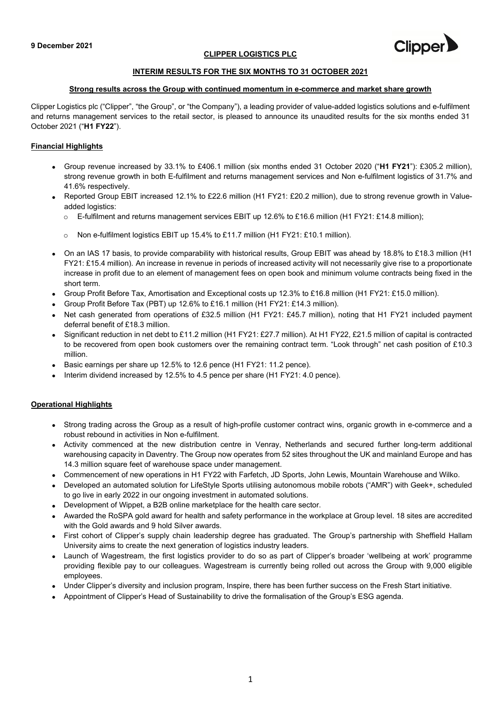

## **CLIPPER LOGISTICS PLC**

## **INTERIM RESULTS FOR THE SIX MONTHS TO 31 OCTOBER 2021**

#### **Strong results across the Group with continued momentum in e-commerce and market share growth**

Clipper Logistics plc ("Clipper", "the Group", or "the Company"), a leading provider of value-added logistics solutions and e-fulfilment and returns management services to the retail sector, is pleased to announce its unaudited results for the six months ended 31 October 2021 ("**H1 FY22**").

## **Financial Highlights**

- Group revenue increased by 33.1% to £406.1 million (six months ended 31 October 2020 ("**H1 FY21**"): £305.2 million), strong revenue growth in both E-fulfilment and returns management services and Non e-fulfilment logistics of 31.7% and 41.6% respectively.
- Reported Group EBIT increased 12.1% to £22.6 million (H1 FY21: £20.2 million), due to strong revenue growth in Valueadded logistics:
	- o E-fulfilment and returns management services EBIT up 12.6% to £16.6 million (H1 FY21: £14.8 million);
	- Non e-fulfilment logistics EBIT up 15.4% to £11.7 million (H1 FY21: £10.1 million).
- On an IAS 17 basis, to provide comparability with historical results, Group EBIT was ahead by 18.8% to £18.3 million (H1 FY21: £15.4 million). An increase in revenue in periods of increased activity will not necessarily give rise to a proportionate increase in profit due to an element of management fees on open book and minimum volume contracts being fixed in the short term.
- Group Profit Before Tax, Amortisation and Exceptional costs up 12.3% to £16.8 million (H1 FY21: £15.0 million).
- Group Profit Before Tax (PBT) up 12.6% to £16.1 million (H1 FY21: £14.3 million).
- Net cash generated from operations of £32.5 million (H1 FY21: £45.7 million), noting that H1 FY21 included payment deferral benefit of £18.3 million.
- Significant reduction in net debt to £11.2 million (H1 FY21: £27.7 million). At H1 FY22, £21.5 million of capital is contracted to be recovered from open book customers over the remaining contract term. "Look through" net cash position of £10.3 million.
- Basic earnings per share up 12.5% to 12.6 pence (H1 FY21: 11.2 pence).
- Interim dividend increased by 12.5% to 4.5 pence per share (H1 FY21: 4.0 pence).

# **Operational Highlights**

- Strong trading across the Group as a result of high-profile customer contract wins, organic growth in e-commerce and a robust rebound in activities in Non e-fulfilment.
- Activity commenced at the new distribution centre in Venray, Netherlands and secured further long-term additional warehousing capacity in Daventry. The Group now operates from 52 sites throughout the UK and mainland Europe and has 14.3 million square feet of warehouse space under management.
- Commencement of new operations in H1 FY22 with Farfetch, JD Sports, John Lewis, Mountain Warehouse and Wilko.
- Developed an automated solution for LifeStyle Sports utilising autonomous mobile robots ("AMR") with Geek+, scheduled to go live in early 2022 in our ongoing investment in automated solutions.
- Development of Wippet, a B2B online marketplace for the health care sector.
- Awarded the RoSPA gold award for health and safety performance in the workplace at Group level. 18 sites are accredited with the Gold awards and 9 hold Silver awards.
- First cohort of Clipper's supply chain leadership degree has graduated. The Group's partnership with Sheffield Hallam University aims to create the next generation of logistics industry leaders.
- Launch of Wagestream, the first logistics provider to do so as part of Clipper's broader 'wellbeing at work' programme providing flexible pay to our colleagues. Wagestream is currently being rolled out across the Group with 9,000 eligible employees.
- Under Clipper's diversity and inclusion program, Inspire, there has been further success on the Fresh Start initiative.
- Appointment of Clipper's Head of Sustainability to drive the formalisation of the Group's ESG agenda.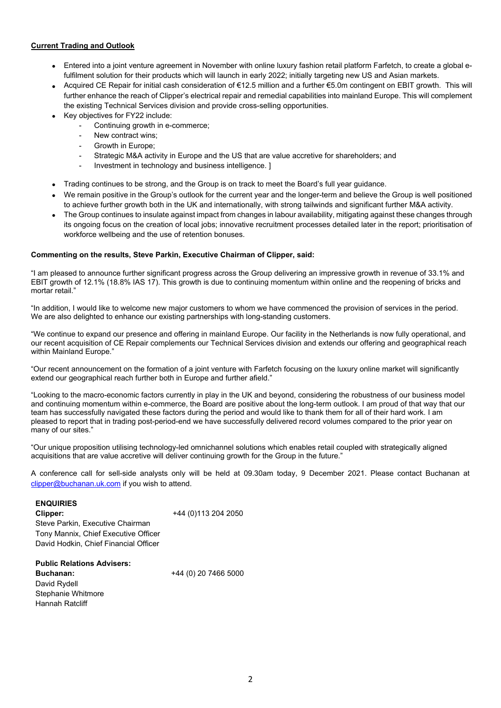# **Current Trading and Outlook**

- Entered into a joint venture agreement in November with online luxury fashion retail platform Farfetch, to create a global efulfilment solution for their products which will launch in early 2022; initially targeting new US and Asian markets.
- Acquired CE Repair for initial cash consideration of €12.5 million and a further €5.0m contingent on EBIT growth. This will further enhance the reach of Clipper's electrical repair and remedial capabilities into mainland Europe. This will complement the existing Technical Services division and provide cross-selling opportunities.
- Key objectives for FY22 include:
	- Continuing growth in e-commerce;
	- New contract wins:
	- Growth in Europe;
	- Strategic M&A activity in Europe and the US that are value accretive for shareholders; and
	- Investment in technology and business intelligence. ]
- Trading continues to be strong, and the Group is on track to meet the Board's full year guidance.
- We remain positive in the Group's outlook for the current year and the longer-term and believe the Group is well positioned to achieve further growth both in the UK and internationally, with strong tailwinds and significant further M&A activity.
- The Group continues to insulate against impact from changes in labour availability, mitigating against these changes through its ongoing focus on the creation of local jobs; innovative recruitment processes detailed later in the report; prioritisation of workforce wellbeing and the use of retention bonuses.

## **Commenting on the results, Steve Parkin, Executive Chairman of Clipper, said:**

"I am pleased to announce further significant progress across the Group delivering an impressive growth in revenue of 33.1% and EBIT growth of 12.1% (18.8% IAS 17). This growth is due to continuing momentum within online and the reopening of bricks and mortar retail."

"In addition, I would like to welcome new major customers to whom we have commenced the provision of services in the period. We are also delighted to enhance our existing partnerships with long-standing customers.

"We continue to expand our presence and offering in mainland Europe. Our facility in the Netherlands is now fully operational, and our recent acquisition of CE Repair complements our Technical Services division and extends our offering and geographical reach within Mainland Europe."

"Our recent announcement on the formation of a joint venture with Farfetch focusing on the luxury online market will significantly extend our geographical reach further both in Europe and further afield."

"Looking to the macro-economic factors currently in play in the UK and beyond, considering the robustness of our business model and continuing momentum within e-commerce, the Board are positive about the long-term outlook. I am proud of that way that our team has successfully navigated these factors during the period and would like to thank them for all of their hard work. I am pleased to report that in trading post-period-end we have successfully delivered record volumes compared to the prior year on many of our sites."

"Our unique proposition utilising technology-led omnichannel solutions which enables retail coupled with strategically aligned acquisitions that are value accretive will deliver continuing growth for the Group in the future."

A conference call for sell-side analysts only will be held at 09.30am today, 9 December 2021. Please contact Buchanan at clipper@buchanan.uk.com if you wish to attend.

**ENQUIRIES Clipper:** +44 (0)113 204 2050 Steve Parkin, Executive Chairman Tony Mannix, Chief Executive Officer David Hodkin, Chief Financial Officer

**Public Relations Advisers: Buchanan:** +44 (0) 20 7466 5000 David Rydell Stephanie Whitmore Hannah Ratcliff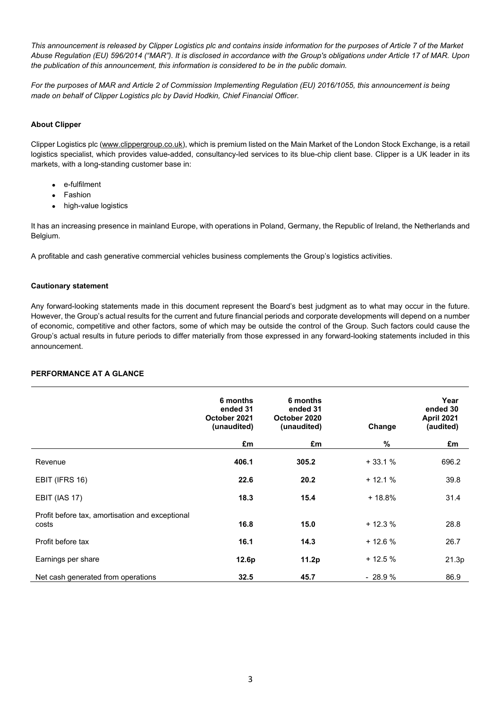*This announcement is released by Clipper Logistics plc and contains inside information for the purposes of Article 7 of the Market Abuse Regulation (EU) 596/2014 ("MAR"). It is disclosed in accordance with the Group's obligations under Article 17 of MAR. Upon the publication of this announcement, this information is considered to be in the public domain.* 

*For the purposes of MAR and Article 2 of Commission Implementing Regulation (EU) 2016/1055, this announcement is being made on behalf of Clipper Logistics plc by David Hodkin, Chief Financial Officer.* 

# **About Clipper**

Clipper Logistics plc (www.clippergroup.co.uk), which is premium listed on the Main Market of the London Stock Exchange, is a retail logistics specialist, which provides value-added, consultancy-led services to its blue-chip client base. Clipper is a UK leader in its markets, with a long-standing customer base in:

- e-fulfilment
- Fashion
- high-value logistics

It has an increasing presence in mainland Europe, with operations in Poland, Germany, the Republic of Ireland, the Netherlands and Belgium.

A profitable and cash generative commercial vehicles business complements the Group's logistics activities.

#### **Cautionary statement**

Any forward-looking statements made in this document represent the Board's best judgment as to what may occur in the future. However, the Group's actual results for the current and future financial periods and corporate developments will depend on a number of economic, competitive and other factors, some of which may be outside the control of the Group. Such factors could cause the Group's actual results in future periods to differ materially from those expressed in any forward-looking statements included in this announcement.

# **PERFORMANCE AT A GLANCE**

|                                                          | 6 months<br>ended 31<br>October 2021<br>(unaudited) | 6 months<br>ended 31<br>October 2020<br>(unaudited) | Change   | Year<br>ended 30<br><b>April 2021</b><br>(audited) |
|----------------------------------------------------------|-----------------------------------------------------|-----------------------------------------------------|----------|----------------------------------------------------|
|                                                          | £m                                                  | £m                                                  | %        | £m                                                 |
| Revenue                                                  | 406.1                                               | 305.2                                               | $+33.1%$ | 696.2                                              |
| EBIT (IFRS 16)                                           | 22.6                                                | 20.2                                                | $+12.1%$ | 39.8                                               |
| EBIT (IAS 17)                                            | 18.3                                                | 15.4                                                | $+18.8%$ | 31.4                                               |
| Profit before tax, amortisation and exceptional<br>costs | 16.8                                                | 15.0                                                | $+12.3%$ | 28.8                                               |
| Profit before tax                                        | 16.1                                                | 14.3                                                | $+12.6%$ | 26.7                                               |
| Earnings per share                                       | 12.6p                                               | 11.2p                                               | $+12.5%$ | 21.3p                                              |
| Net cash generated from operations                       | 32.5                                                | 45.7                                                | $-28.9%$ | 86.9                                               |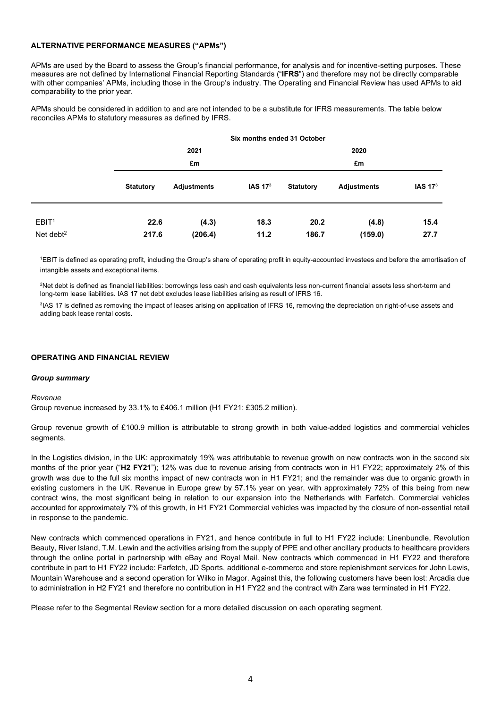### **ALTERNATIVE PERFORMANCE MEASURES ("APMs")**

APMs are used by the Board to assess the Group's financial performance, for analysis and for incentive-setting purposes. These measures are not defined by International Financial Reporting Standards ("**IFRS**") and therefore may not be directly comparable with other companies' APMs, including those in the Group's industry. The Operating and Financial Review has used APMs to aid comparability to the prior year.

APMs should be considered in addition to and are not intended to be a substitute for IFRS measurements. The table below reconciles APMs to statutory measures as defined by IFRS.

|                   |                  | Six months ended 31 October |           |                  |                    |           |
|-------------------|------------------|-----------------------------|-----------|------------------|--------------------|-----------|
|                   |                  | 2021                        |           |                  | 2020               |           |
|                   |                  | £m                          |           | £m               |                    |           |
|                   | <b>Statutory</b> | <b>Adjustments</b>          | IAS $173$ | <b>Statutory</b> | <b>Adjustments</b> | IAS $173$ |
| EBIT <sup>1</sup> | 22.6             | (4.3)                       | 18.3      | 20.2             | (4.8)              | 15.4      |
| Net debt $2$      | 217.6            | (206.4)                     | 11.2      | 186.7            | (159.0)            | 27.7      |

1 EBIT is defined as operating profit, including the Group's share of operating profit in equity-accounted investees and before the amortisation of intangible assets and exceptional items.

2 Net debt is defined as financial liabilities: borrowings less cash and cash equivalents less non-current financial assets less short-term and long-term lease liabilities. IAS 17 net debt excludes lease liabilities arising as result of IFRS 16.

3 IAS 17 is defined as removing the impact of leases arising on application of IFRS 16, removing the depreciation on right-of-use assets and adding back lease rental costs.

## **OPERATING AND FINANCIAL REVIEW**

#### *Group summary*

#### *Revenue*

Group revenue increased by 33.1% to £406.1 million (H1 FY21: £305.2 million).

Group revenue growth of £100.9 million is attributable to strong growth in both value-added logistics and commercial vehicles segments.

In the Logistics division, in the UK: approximately 19% was attributable to revenue growth on new contracts won in the second six months of the prior year ("**H2 FY21**"); 12% was due to revenue arising from contracts won in H1 FY22; approximately 2% of this growth was due to the full six months impact of new contracts won in H1 FY21; and the remainder was due to organic growth in existing customers in the UK. Revenue in Europe grew by 57.1% year on year, with approximately 72% of this being from new contract wins, the most significant being in relation to our expansion into the Netherlands with Farfetch. Commercial vehicles accounted for approximately 7% of this growth, in H1 FY21 Commercial vehicles was impacted by the closure of non-essential retail in response to the pandemic.

New contracts which commenced operations in FY21, and hence contribute in full to H1 FY22 include: Linenbundle, Revolution Beauty, River Island, T.M. Lewin and the activities arising from the supply of PPE and other ancillary products to healthcare providers through the online portal in partnership with eBay and Royal Mail. New contracts which commenced in H1 FY22 and therefore contribute in part to H1 FY22 include: Farfetch, JD Sports, additional e-commerce and store replenishment services for John Lewis, Mountain Warehouse and a second operation for Wilko in Magor. Against this, the following customers have been lost: Arcadia due to administration in H2 FY21 and therefore no contribution in H1 FY22 and the contract with Zara was terminated in H1 FY22.

Please refer to the Segmental Review section for a more detailed discussion on each operating segment.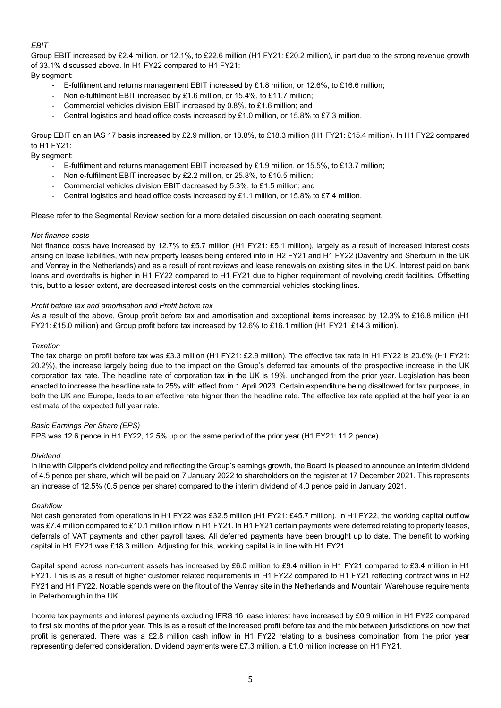# *EBIT*

Group EBIT increased by £2.4 million, or 12.1%, to £22.6 million (H1 FY21: £20.2 million), in part due to the strong revenue growth of 33.1% discussed above. In H1 FY22 compared to H1 FY21:

By segment:

- E-fulfilment and returns management EBIT increased by £1.8 million, or 12.6%, to £16.6 million;
- Non e-fulfilment EBIT increased by £1.6 million, or 15.4%, to £11.7 million;
- Commercial vehicles division EBIT increased by 0.8%, to £1.6 million; and
- Central logistics and head office costs increased by £1.0 million, or 15.8% to £7.3 million.

Group EBIT on an IAS 17 basis increased by £2.9 million, or 18.8%, to £18.3 million (H1 FY21: £15.4 million). In H1 FY22 compared to H1 FY21:

By segment:

- E-fulfilment and returns management EBIT increased by £1.9 million, or 15.5%, to £13.7 million;
- Non e-fulfilment EBIT increased by £2.2 million, or 25.8%, to £10.5 million;
- Commercial vehicles division EBIT decreased by 5.3%, to £1.5 million; and
- Central logistics and head office costs increased by £1.1 million, or 15.8% to £7.4 million.

Please refer to the Segmental Review section for a more detailed discussion on each operating segment.

#### *Net finance costs*

Net finance costs have increased by 12.7% to £5.7 million (H1 FY21: £5.1 million), largely as a result of increased interest costs arising on lease liabilities, with new property leases being entered into in H2 FY21 and H1 FY22 (Daventry and Sherburn in the UK and Venray in the Netherlands) and as a result of rent reviews and lease renewals on existing sites in the UK. Interest paid on bank loans and overdrafts is higher in H1 FY22 compared to H1 FY21 due to higher requirement of revolving credit facilities. Offsetting this, but to a lesser extent, are decreased interest costs on the commercial vehicles stocking lines.

#### *Profit before tax and amortisation and Profit before tax*

As a result of the above, Group profit before tax and amortisation and exceptional items increased by 12.3% to £16.8 million (H1 FY21: £15.0 million) and Group profit before tax increased by 12.6% to £16.1 million (H1 FY21: £14.3 million).

#### *Taxation*

The tax charge on profit before tax was £3.3 million (H1 FY21: £2.9 million). The effective tax rate in H1 FY22 is 20.6% (H1 FY21: 20.2%), the increase largely being due to the impact on the Group's deferred tax amounts of the prospective increase in the UK corporation tax rate. The headline rate of corporation tax in the UK is 19%, unchanged from the prior year. Legislation has been enacted to increase the headline rate to 25% with effect from 1 April 2023. Certain expenditure being disallowed for tax purposes, in both the UK and Europe, leads to an effective rate higher than the headline rate. The effective tax rate applied at the half year is an estimate of the expected full year rate.

#### *Basic Earnings Per Share (EPS)*

EPS was 12.6 pence in H1 FY22, 12.5% up on the same period of the prior year (H1 FY21: 11.2 pence).

#### *Dividend*

In line with Clipper's dividend policy and reflecting the Group's earnings growth, the Board is pleased to announce an interim dividend of 4.5 pence per share, which will be paid on 7 January 2022 to shareholders on the register at 17 December 2021. This represents an increase of 12.5% (0.5 pence per share) compared to the interim dividend of 4.0 pence paid in January 2021.

#### *Cashflow*

Net cash generated from operations in H1 FY22 was £32.5 million (H1 FY21: £45.7 million). In H1 FY22, the working capital outflow was £7.4 million compared to £10.1 million inflow in H1 FY21. In H1 FY21 certain payments were deferred relating to property leases, deferrals of VAT payments and other payroll taxes. All deferred payments have been brought up to date. The benefit to working capital in H1 FY21 was £18.3 million. Adjusting for this, working capital is in line with H1 FY21.

Capital spend across non-current assets has increased by £6.0 million to £9.4 million in H1 FY21 compared to £3.4 million in H1 FY21. This is as a result of higher customer related requirements in H1 FY22 compared to H1 FY21 reflecting contract wins in H2 FY21 and H1 FY22. Notable spends were on the fitout of the Venray site in the Netherlands and Mountain Warehouse requirements in Peterborough in the UK.

Income tax payments and interest payments excluding IFRS 16 lease interest have increased by £0.9 million in H1 FY22 compared to first six months of the prior year. This is as a result of the increased profit before tax and the mix between jurisdictions on how that profit is generated. There was a £2.8 million cash inflow in H1 FY22 relating to a business combination from the prior year representing deferred consideration. Dividend payments were £7.3 million, a £1.0 million increase on H1 FY21.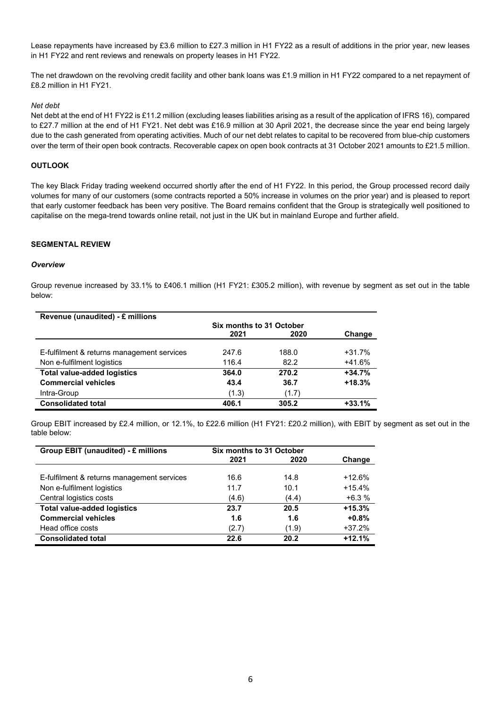Lease repayments have increased by £3.6 million to £27.3 million in H1 FY22 as a result of additions in the prior year, new leases in H1 FY22 and rent reviews and renewals on property leases in H1 FY22.

The net drawdown on the revolving credit facility and other bank loans was £1.9 million in H1 FY22 compared to a net repayment of £8.2 million in H1 FY21.

#### *Net debt*

Net debt at the end of H1 FY22 is £11.2 million (excluding leases liabilities arising as a result of the application of IFRS 16), compared to £27.7 million at the end of H1 FY21. Net debt was £16.9 million at 30 April 2021, the decrease since the year end being largely due to the cash generated from operating activities. Much of our net debt relates to capital to be recovered from blue-chip customers over the term of their open book contracts. Recoverable capex on open book contracts at 31 October 2021 amounts to £21.5 million.

## **OUTLOOK**

The key Black Friday trading weekend occurred shortly after the end of H1 FY22. In this period, the Group processed record daily volumes for many of our customers (some contracts reported a 50% increase in volumes on the prior year) and is pleased to report that early customer feedback has been very positive. The Board remains confident that the Group is strategically well positioned to capitalise on the mega-trend towards online retail, not just in the UK but in mainland Europe and further afield.

## **SEGMENTAL REVIEW**

#### *Overview*

Group revenue increased by 33.1% to £406.1 million (H1 FY21: £305.2 million), with revenue by segment as set out in the table below:

| Revenue (unaudited) - £ millions           |                          |       |           |  |  |  |
|--------------------------------------------|--------------------------|-------|-----------|--|--|--|
|                                            | Six months to 31 October |       |           |  |  |  |
|                                            | 2021                     | 2020  | Change    |  |  |  |
|                                            |                          |       |           |  |  |  |
| E-fulfilment & returns management services | 247.6                    | 188.0 | $+31.7\%$ |  |  |  |
| Non e-fulfilment logistics                 | 116.4                    | 82.2  | $+41.6%$  |  |  |  |
| <b>Total value-added logistics</b>         | 364.0                    | 270.2 | $+34.7%$  |  |  |  |
| <b>Commercial vehicles</b>                 | 43.4                     | 36.7  | $+18.3%$  |  |  |  |
| Intra-Group                                | (1.3)                    | (1.7) |           |  |  |  |
| <b>Consolidated total</b>                  | 406.1                    | 305.2 | $+33.1%$  |  |  |  |

Group EBIT increased by £2.4 million, or 12.1%, to £22.6 million (H1 FY21: £20.2 million), with EBIT by segment as set out in the table below:

| Group EBIT (unaudited) - £ millions        | Six months to 31 October |       |          |
|--------------------------------------------|--------------------------|-------|----------|
|                                            | 2021                     | 2020  | Change   |
|                                            |                          |       |          |
| E-fulfilment & returns management services | 16.6                     | 14.8  | $+12.6%$ |
| Non e-fulfilment logistics                 | 11.7                     | 10.1  | $+15.4%$ |
| Central logistics costs                    | (4.6)                    | (4.4) | $+6.3%$  |
| <b>Total value-added logistics</b>         | 23.7                     | 20.5  | $+15.3%$ |
| <b>Commercial vehicles</b>                 | 1.6                      | 1.6   | $+0.8%$  |
| Head office costs                          | (2.7)                    | (1.9) | $+37.2%$ |
| <b>Consolidated total</b>                  | 22.6                     | 20.2  | $+12.1%$ |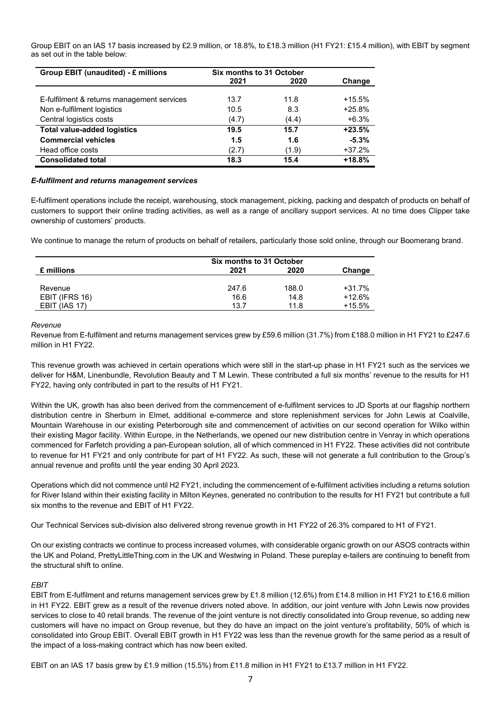Group EBIT on an IAS 17 basis increased by £2.9 million, or 18.8%, to £18.3 million (H1 FY21: £15.4 million), with EBIT by segment as set out in the table below:

| <b>Group EBIT (unaudited) - £ millions</b> | Six months to 31 October |       |          |  |
|--------------------------------------------|--------------------------|-------|----------|--|
|                                            | 2021                     | 2020  | Change   |  |
| E-fulfilment & returns management services | 13.7                     | 11.8  | $+15.5%$ |  |
| Non e-fulfilment logistics                 | 10.5                     | 8.3   | $+25.8%$ |  |
| Central logistics costs                    | (4.7)                    | (4.4) | $+6.3%$  |  |
| <b>Total value-added logistics</b>         | 19.5                     | 15.7  | $+23.5%$ |  |
| <b>Commercial vehicles</b>                 | 1.5                      | 1.6   | $-5.3%$  |  |
| Head office costs                          | (2.7)                    | (1.9) | $+37.2%$ |  |
| <b>Consolidated total</b>                  | 18.3                     | 15.4  | $+18.8%$ |  |

#### *E-fulfilment and returns management services*

E-fulfilment operations include the receipt, warehousing, stock management, picking, packing and despatch of products on behalf of customers to support their online trading activities, as well as a range of ancillary support services. At no time does Clipper take ownership of customers' products.

We continue to manage the return of products on behalf of retailers, particularly those sold online, through our Boomerang brand.

|                | Six months to 31 October |       |          |  |  |  |
|----------------|--------------------------|-------|----------|--|--|--|
| £ millions     | 2021                     | 2020  | Change   |  |  |  |
| Revenue        | 247.6                    | 188.0 | $+31.7%$ |  |  |  |
| EBIT (IFRS 16) | 16.6                     | 14.8  | $+12.6%$ |  |  |  |
| EBIT (IAS 17)  | 13.7                     | 11.8  | $+15.5%$ |  |  |  |

#### *Revenue*

Revenue from E-fulfilment and returns management services grew by £59.6 million (31.7%) from £188.0 million in H1 FY21 to £247.6 million in H1 FY22.

This revenue growth was achieved in certain operations which were still in the start-up phase in H1 FY21 such as the services we deliver for H&M, Linenbundle, Revolution Beauty and T M Lewin. These contributed a full six months' revenue to the results for H1 FY22, having only contributed in part to the results of H1 FY21.

Within the UK, growth has also been derived from the commencement of e-fulfilment services to JD Sports at our flagship northern distribution centre in Sherburn in Elmet, additional e-commerce and store replenishment services for John Lewis at Coalville, Mountain Warehouse in our existing Peterborough site and commencement of activities on our second operation for Wilko within their existing Magor facility. Within Europe, in the Netherlands, we opened our new distribution centre in Venray in which operations commenced for Farfetch providing a pan-European solution, all of which commenced in H1 FY22. These activities did not contribute to revenue for H1 FY21 and only contribute for part of H1 FY22. As such, these will not generate a full contribution to the Group's annual revenue and profits until the year ending 30 April 2023.

Operations which did not commence until H2 FY21, including the commencement of e-fulfilment activities including a returns solution for River Island within their existing facility in Milton Keynes, generated no contribution to the results for H1 FY21 but contribute a full six months to the revenue and EBIT of H1 FY22.

Our Technical Services sub-division also delivered strong revenue growth in H1 FY22 of 26.3% compared to H1 of FY21.

On our existing contracts we continue to process increased volumes, with considerable organic growth on our ASOS contracts within the UK and Poland, PrettyLittleThing.com in the UK and Westwing in Poland. These pureplay e-tailers are continuing to benefit from the structural shift to online.

#### *EBIT*

EBIT from E-fulfilment and returns management services grew by £1.8 million (12.6%) from £14.8 million in H1 FY21 to £16.6 million in H1 FY22. EBIT grew as a result of the revenue drivers noted above. In addition, our joint venture with John Lewis now provides services to close to 40 retail brands. The revenue of the joint venture is not directly consolidated into Group revenue, so adding new customers will have no impact on Group revenue, but they do have an impact on the joint venture's profitability, 50% of which is consolidated into Group EBIT. Overall EBIT growth in H1 FY22 was less than the revenue growth for the same period as a result of the impact of a loss-making contract which has now been exited.

EBIT on an IAS 17 basis grew by £1.9 million (15.5%) from £11.8 million in H1 FY21 to £13.7 million in H1 FY22.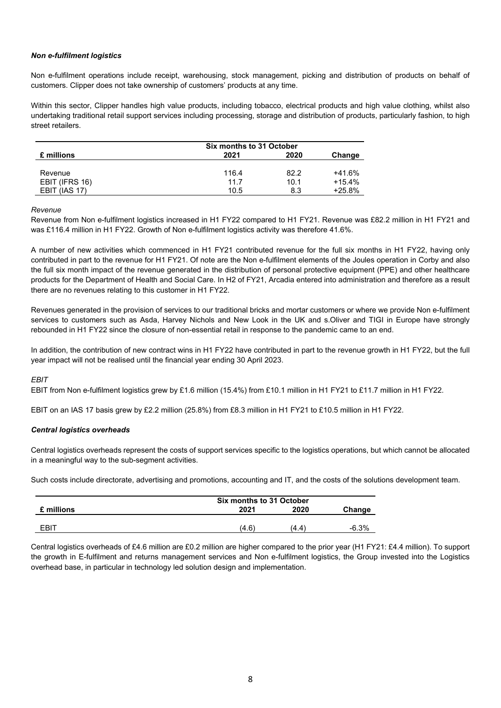## *Non e-fulfilment logistics*

Non e-fulfilment operations include receipt, warehousing, stock management, picking and distribution of products on behalf of customers. Clipper does not take ownership of customers' products at any time.

Within this sector, Clipper handles high value products, including tobacco, electrical products and high value clothing, whilst also undertaking traditional retail support services including processing, storage and distribution of products, particularly fashion, to high street retailers.

| £ millions           | Six months to 31 October |      |          |
|----------------------|--------------------------|------|----------|
|                      | 2021                     | 2020 | Change   |
| Revenue              | 116.4                    | 82.2 | $+41.6%$ |
| EBIT (IFRS 16)       | 11.7                     | 10.1 | $+15.4%$ |
| <b>EBIT (IAS 17)</b> | 10.5                     | 8.3  | $+25.8%$ |

*Revenue* 

Revenue from Non e-fulfilment logistics increased in H1 FY22 compared to H1 FY21. Revenue was £82.2 million in H1 FY21 and was £116.4 million in H1 FY22. Growth of Non e-fulfilment logistics activity was therefore 41.6%.

A number of new activities which commenced in H1 FY21 contributed revenue for the full six months in H1 FY22, having only contributed in part to the revenue for H1 FY21. Of note are the Non e-fulfilment elements of the Joules operation in Corby and also the full six month impact of the revenue generated in the distribution of personal protective equipment (PPE) and other healthcare products for the Department of Health and Social Care. In H2 of FY21, Arcadia entered into administration and therefore as a result there are no revenues relating to this customer in H1 FY22.

Revenues generated in the provision of services to our traditional bricks and mortar customers or where we provide Non e-fulfilment services to customers such as Asda, Harvey Nichols and New Look in the UK and s.Oliver and TIGI in Europe have strongly rebounded in H1 FY22 since the closure of non-essential retail in response to the pandemic came to an end.

In addition, the contribution of new contract wins in H1 FY22 have contributed in part to the revenue growth in H1 FY22, but the full year impact will not be realised until the financial year ending 30 April 2023.

## *EBIT*

EBIT from Non e-fulfilment logistics grew by £1.6 million (15.4%) from £10.1 million in H1 FY21 to £11.7 million in H1 FY22.

EBIT on an IAS 17 basis grew by £2.2 million (25.8%) from £8.3 million in H1 FY21 to £10.5 million in H1 FY22.

#### *Central logistics overheads*

Central logistics overheads represent the costs of support services specific to the logistics operations, but which cannot be allocated in a meaningful way to the sub-segment activities.

Such costs include directorate, advertising and promotions, accounting and IT, and the costs of the solutions development team.

|             | Six months to 31 October |       |         |  |  |
|-------------|--------------------------|-------|---------|--|--|
| £ millions  | 2021                     | 2020  | Change  |  |  |
|             |                          |       |         |  |  |
| <b>FRIT</b> | (4.6)                    | (4.4) | $-6.3%$ |  |  |

Central logistics overheads of £4.6 million are £0.2 million are higher compared to the prior year (H1 FY21: £4.4 million). To support the growth in E-fulfilment and returns management services and Non e-fulfilment logistics, the Group invested into the Logistics overhead base, in particular in technology led solution design and implementation.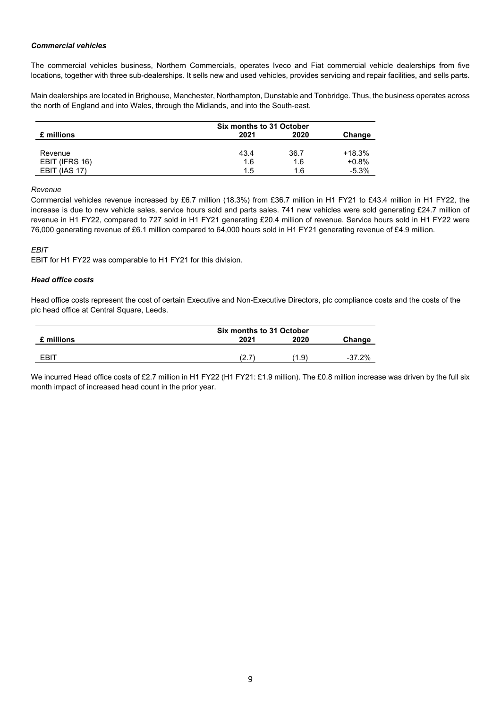## *Commercial vehicles*

The commercial vehicles business, Northern Commercials, operates Iveco and Fiat commercial vehicle dealerships from five locations, together with three sub-dealerships. It sells new and used vehicles, provides servicing and repair facilities, and sells parts.

Main dealerships are located in Brighouse, Manchester, Northampton, Dunstable and Tonbridge. Thus, the business operates across the north of England and into Wales, through the Midlands, and into the South-east.

|                |      | Six months to 31 October |          |  |  |
|----------------|------|--------------------------|----------|--|--|
| £ millions     | 2021 | 2020                     | Change   |  |  |
| Revenue        | 43.4 | 36.7                     | $+18.3%$ |  |  |
| EBIT (IFRS 16) | 1.6  | 1.6                      | $+0.8%$  |  |  |
| EBIT (IAS 17)  | 1.5  | 1.6                      | $-5.3%$  |  |  |

#### *Revenue*

Commercial vehicles revenue increased by £6.7 million (18.3%) from £36.7 million in H1 FY21 to £43.4 million in H1 FY22, the increase is due to new vehicle sales, service hours sold and parts sales. 741 new vehicles were sold generating £24.7 million of revenue in H1 FY22, compared to 727 sold in H1 FY21 generating £20.4 million of revenue. Service hours sold in H1 FY22 were 76,000 generating revenue of £6.1 million compared to 64,000 hours sold in H1 FY21 generating revenue of £4.9 million.

#### *EBIT*

EBIT for H1 FY22 was comparable to H1 FY21 for this division.

## *Head office costs*

Head office costs represent the cost of certain Executive and Non-Executive Directors, plc compliance costs and the costs of the plc head office at Central Square, Leeds.

|             | Six months to 31 October |       |       |  |  |
|-------------|--------------------------|-------|-------|--|--|
| £ millions  | 2021<br>2020<br>Change   |       |       |  |  |
|             |                          |       |       |  |  |
| <b>EBIT</b> | (2.1)                    | (1.9) | 37.2% |  |  |

We incurred Head office costs of £2.7 million in H1 FY22 (H1 FY21: £1.9 million). The £0.8 million increase was driven by the full six month impact of increased head count in the prior year.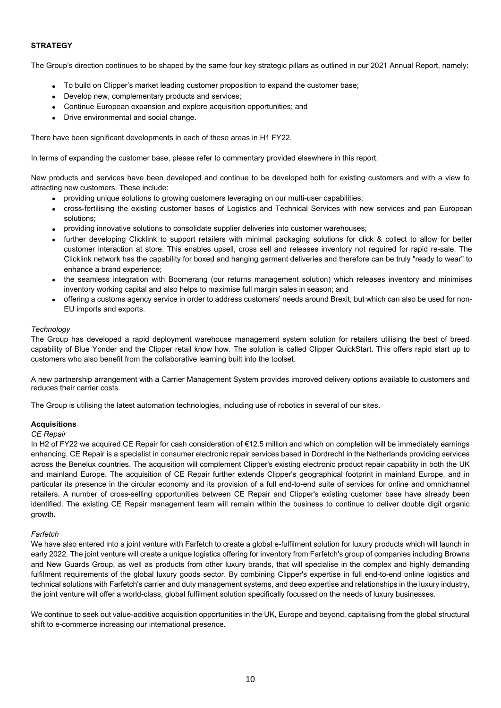# **STRATEGY**

The Group's direction continues to be shaped by the same four key strategic pillars as outlined in our 2021 Annual Report, namely:

- To build on Clipper's market leading customer proposition to expand the customer base;
- Develop new, complementary products and services;
- Continue European expansion and explore acquisition opportunities; and
- Drive environmental and social change.

There have been significant developments in each of these areas in H1 FY22.

In terms of expanding the customer base, please refer to commentary provided elsewhere in this report.

New products and services have been developed and continue to be developed both for existing customers and with a view to attracting new customers. These include:

- providing unique solutions to growing customers leveraging on our multi-user capabilities;
- cross-fertilising the existing customer bases of Logistics and Technical Services with new services and pan European solutions;
- providing innovative solutions to consolidate supplier deliveries into customer warehouses;
- further developing Clicklink to support retailers with minimal packaging solutions for click & collect to allow for better customer interaction at store. This enables upsell, cross sell and releases inventory not required for rapid re-sale. The Clicklink network has the capability for boxed and hanging garment deliveries and therefore can be truly "ready to wear" to enhance a brand experience;
- the seamless integration with Boomerang (our returns management solution) which releases inventory and minimises inventory working capital and also helps to maximise full margin sales in season; and
- offering a customs agency service in order to address customers' needs around Brexit, but which can also be used for non-EU imports and exports.

#### *Technology*

The Group has developed a rapid deployment warehouse management system solution for retailers utilising the best of breed capability of Blue Yonder and the Clipper retail know how. The solution is called Clipper QuickStart. This offers rapid start up to customers who also benefit from the collaborative learning built into the toolset.

A new partnership arrangement with a Carrier Management System provides improved delivery options available to customers and reduces their carrier costs.

The Group is utilising the latest automation technologies, including use of robotics in several of our sites.

## **Acquisitions**

#### *CE Repair*

In H2 of FY22 we acquired CE Repair for cash consideration of €12.5 million and which on completion will be immediately earnings enhancing. CE Repair is a specialist in consumer electronic repair services based in Dordrecht in the Netherlands providing services across the Benelux countries. The acquisition will complement Clipper's existing electronic product repair capability in both the UK and mainland Europe. The acquisition of CE Repair further extends Clipper's geographical footprint in mainland Europe, and in particular its presence in the circular economy and its provision of a full end-to-end suite of services for online and omnichannel retailers. A number of cross-selling opportunities between CE Repair and Clipper's existing customer base have already been identified. The existing CE Repair management team will remain within the business to continue to deliver double digit organic growth.

#### *Farfetch*

We have also entered into a joint venture with Farfetch to create a global e-fulfilment solution for luxury products which will launch in early 2022. The joint venture will create a unique logistics offering for inventory from Farfetch's group of companies including Browns and New Guards Group, as well as products from other luxury brands, that will specialise in the complex and highly demanding fulfilment requirements of the global luxury goods sector. By combining Clipper's expertise in full end-to-end online logistics and technical solutions with Farfetch's carrier and duty management systems, and deep expertise and relationships in the luxury industry, the joint venture will offer a world-class, global fulfilment solution specifically focussed on the needs of luxury businesses.

We continue to seek out value-additive acquisition opportunities in the UK, Europe and beyond, capitalising from the global structural shift to e-commerce increasing our international presence.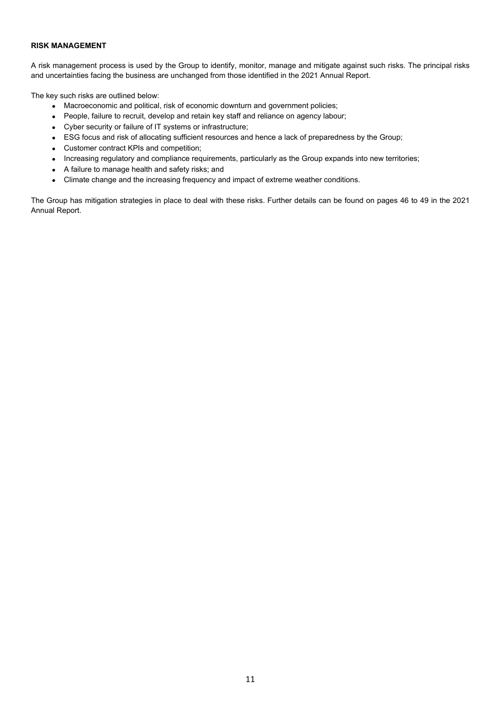# **RISK MANAGEMENT**

A risk management process is used by the Group to identify, monitor, manage and mitigate against such risks. The principal risks and uncertainties facing the business are unchanged from those identified in the 2021 Annual Report.

The key such risks are outlined below:

- Macroeconomic and political, risk of economic downturn and government policies;
- People, failure to recruit, develop and retain key staff and reliance on agency labour;
- Cyber security or failure of IT systems or infrastructure;
- ESG focus and risk of allocating sufficient resources and hence a lack of preparedness by the Group;
- Customer contract KPIs and competition;
- Increasing regulatory and compliance requirements, particularly as the Group expands into new territories;
- A failure to manage health and safety risks; and
- Climate change and the increasing frequency and impact of extreme weather conditions.

The Group has mitigation strategies in place to deal with these risks. Further details can be found on pages 46 to 49 in the 2021 Annual Report.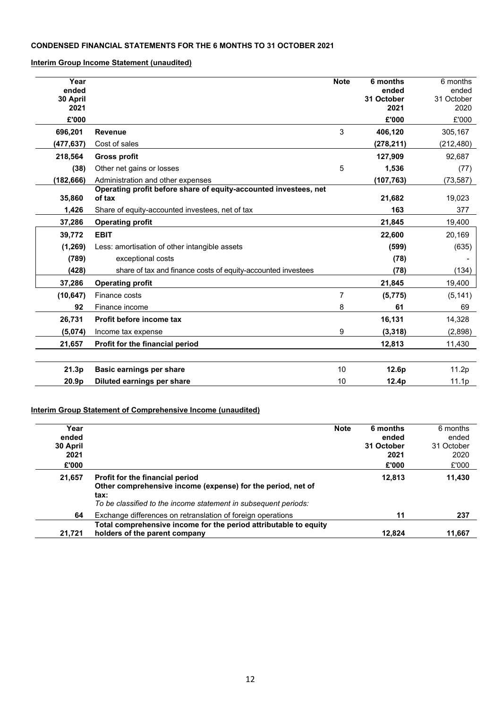# **CONDENSED FINANCIAL STATEMENTS FOR THE 6 MONTHS TO 31 OCTOBER 2021**

# **Interim Group Income Statement (unaudited)**

| Year<br>ended<br>30 April<br>2021 |                                                                            | <b>Note</b> | 6 months<br>ended<br>31 October<br>2021 | 6 months<br>ended<br>31 October<br>2020 |
|-----------------------------------|----------------------------------------------------------------------------|-------------|-----------------------------------------|-----------------------------------------|
| £'000                             |                                                                            |             | £'000                                   | £'000                                   |
| 696,201                           | <b>Revenue</b>                                                             | 3           | 406,120                                 | 305,167                                 |
| (477,637)                         | Cost of sales                                                              |             | (278, 211)                              | (212, 480)                              |
| 218,564                           | <b>Gross profit</b>                                                        |             | 127,909                                 | 92,687                                  |
| (38)                              | Other net gains or losses                                                  | 5           | 1,536                                   | (77)                                    |
| (182,666)                         | Administration and other expenses                                          |             | (107, 763)                              | (73, 587)                               |
| 35,860                            | Operating profit before share of equity-accounted investees, net<br>of tax |             | 21,682                                  | 19,023                                  |
| 1,426                             | Share of equity-accounted investees, net of tax                            |             | 163                                     | 377                                     |
| 37,286                            | <b>Operating profit</b>                                                    |             | 21,845                                  | 19,400                                  |
| 39,772                            | <b>EBIT</b>                                                                |             | 22,600                                  | 20,169                                  |
| (1,269)                           | Less: amortisation of other intangible assets                              |             | (599)                                   | (635)                                   |
| (789)                             | exceptional costs                                                          |             | (78)                                    |                                         |
| (428)                             | share of tax and finance costs of equity-accounted investees               |             | (78)                                    | (134)                                   |
| 37,286                            | <b>Operating profit</b>                                                    |             | 21,845                                  | 19,400                                  |
| (10, 647)                         | Finance costs                                                              | 7           | (5, 775)                                | (5, 141)                                |
| 92                                | Finance income                                                             | 8           | 61                                      | 69                                      |
| 26,731                            | Profit before income tax                                                   |             | 16,131                                  | 14,328                                  |
| (5,074)                           | Income tax expense                                                         | 9           | (3,318)                                 | (2,898)                                 |
| 21,657                            | Profit for the financial period                                            |             | 12,813                                  | 11,430                                  |
|                                   |                                                                            |             |                                         |                                         |
| 21.3p                             | <b>Basic earnings per share</b>                                            | 10          | 12.6p                                   | 11.2p                                   |
| 20.9p                             | Diluted earnings per share                                                 | 10          | 12.4p                                   | 11.1p                                   |

# **Interim Group Statement of Comprehensive Income (unaudited)**

| Year<br>ended<br>30 April |                                                                                                                                                                           | <b>Note</b> | 6 months<br>ended<br>31 October | 6 months<br>ended<br>31 October |
|---------------------------|---------------------------------------------------------------------------------------------------------------------------------------------------------------------------|-------------|---------------------------------|---------------------------------|
| 2021<br>£'000             |                                                                                                                                                                           |             | 2021<br>£'000                   | 2020<br>£'000                   |
| 21,657                    | Profit for the financial period<br>Other comprehensive income (expense) for the period, net of<br>tax:<br>To be classified to the income statement in subsequent periods: |             | 12.813                          | 11,430                          |
| 64                        | Exchange differences on retranslation of foreign operations                                                                                                               |             | 11                              | 237                             |
| 21,721                    | Total comprehensive income for the period attributable to equity<br>holders of the parent company                                                                         |             | 12.824                          | 11,667                          |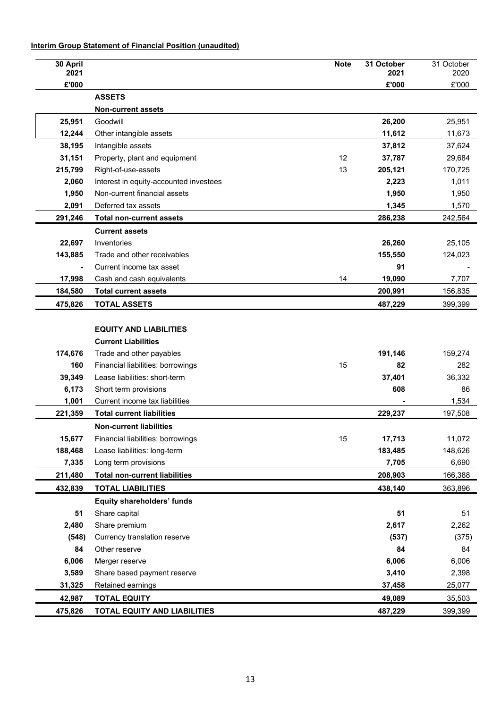# **Interim Group Statement of Financial Position (unaudited)**

| 30 April<br>2021 |                                                             | <b>Note</b> | 31 October<br>2021 | 31 October<br>2020 |
|------------------|-------------------------------------------------------------|-------------|--------------------|--------------------|
| £'000            |                                                             |             | £'000              | £'000              |
|                  | <b>ASSETS</b>                                               |             |                    |                    |
|                  | <b>Non-current assets</b>                                   |             |                    |                    |
| 25,951           | Goodwill                                                    |             | 26,200             | 25,951             |
| 12,244           | Other intangible assets                                     |             | 11,612             | 11,673             |
| 38,195           | Intangible assets                                           |             | 37,812             | 37,624             |
| 31,151           | Property, plant and equipment                               | 12          | 37,787             | 29,684             |
| 215,799          | Right-of-use-assets                                         | 13          | 205,121            | 170,725            |
| 2,060            | Interest in equity-accounted investees                      |             | 2,223              | 1,011              |
| 1,950            | Non-current financial assets                                |             | 1,950              | 1,950              |
| 2,091            | Deferred tax assets                                         |             | 1,345              | 1,570              |
| 291,246          | <b>Total non-current assets</b>                             |             | 286,238            | 242,564            |
|                  | <b>Current assets</b>                                       |             |                    |                    |
| 22,697           | Inventories                                                 |             | 26,260             | 25,105             |
| 143,885          | Trade and other receivables                                 |             | 155,550            | 124,023            |
|                  | Current income tax asset                                    |             | 91                 |                    |
| 17,998           | Cash and cash equivalents                                   | 14          | 19,090             | 7,707              |
| 184,580          | <b>Total current assets</b>                                 |             | 200,991            | 156,835            |
| 475,826          | <b>TOTAL ASSETS</b>                                         |             | 487,229            | 399,399            |
|                  | <b>EQUITY AND LIABILITIES</b><br><b>Current Liabilities</b> |             |                    |                    |
| 174,676          | Trade and other payables                                    |             | 191,146            | 159,274            |
| 160              | Financial liabilities: borrowings                           | 15          | 82                 | 282                |
| 39,349           | Lease liabilities: short-term                               |             | 37,401             | 36,332             |
| 6,173            | Short term provisions                                       |             | 608                | 86                 |
| 1,001            | Current income tax liabilities                              |             |                    | 1,534              |
| 221,359          | <b>Total current liabilities</b>                            |             | 229,237            | 197,508            |
|                  | <b>Non-current liabilities</b>                              |             |                    |                    |
| 15,677           | Financial liabilities: borrowings                           | 15          | 17,713             | 11,072             |
| 188,468          | Lease liabilities: long-term                                |             | 183,485            | 148,626            |
| 7,335            | Long term provisions                                        |             | 7,705              | 6,690              |
| 211,480          | <b>Total non-current liabilities</b>                        |             | 208,903            | 166,388            |
| 432,839          | <b>TOTAL LIABILITIES</b>                                    |             | 438,140            | 363,896            |
|                  | Equity shareholders' funds                                  |             |                    |                    |
| 51               | Share capital                                               |             | 51                 | 51                 |
| 2,480            | Share premium                                               |             | 2,617              | 2,262              |
| (548)            | Currency translation reserve                                |             | (537)              | (375)              |
| 84               | Other reserve                                               |             | 84                 | 84                 |
| 6,006            | Merger reserve                                              |             | 6,006              | 6,006              |
| 3,589            | Share based payment reserve                                 |             | 3,410              | 2,398              |
| 31,325           | Retained earnings                                           |             | 37,458             | 25,077             |
| 42,987           | <b>TOTAL EQUITY</b>                                         |             | 49,089             | 35,503             |
| 475,826          | TOTAL EQUITY AND LIABILITIES                                |             | 487,229            | 399,399            |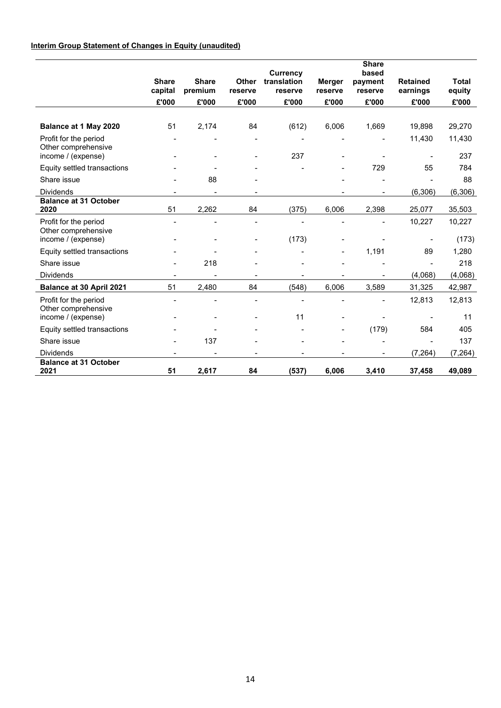# **Interim Group Statement of Changes in Equity (unaudited)**

|                                                                    | <b>Share</b><br>capital | <b>Share</b><br>premium | <b>Other</b><br>reserve | <b>Currency</b><br>translation<br>reserve | <b>Merger</b><br>reserve | <b>Share</b><br>based<br>payment<br>reserve | <b>Retained</b><br>earnings | <b>Total</b><br>equity |
|--------------------------------------------------------------------|-------------------------|-------------------------|-------------------------|-------------------------------------------|--------------------------|---------------------------------------------|-----------------------------|------------------------|
|                                                                    | £'000                   | £'000                   | £'000                   | £'000                                     | £'000                    | £'000                                       | £'000                       | £'000                  |
| Balance at 1 May 2020                                              | 51                      | 2,174                   | 84                      | (612)                                     | 6,006                    | 1,669                                       | 19,898                      | 29,270                 |
|                                                                    |                         |                         |                         |                                           |                          |                                             |                             |                        |
| Profit for the period<br>Other comprehensive<br>income / (expense) |                         |                         |                         | 237                                       |                          |                                             | 11,430                      | 11,430<br>237          |
| Equity settled transactions                                        |                         |                         |                         |                                           |                          | 729                                         | 55                          | 784                    |
| Share issue                                                        |                         | 88                      |                         |                                           |                          |                                             |                             | 88                     |
| <b>Dividends</b>                                                   |                         |                         |                         |                                           |                          |                                             | (6,306)                     | (6, 306)               |
| <b>Balance at 31 October</b><br>2020                               | 51                      | 2,262                   | 84                      | (375)                                     | 6,006                    | 2,398                                       | 25,077                      | 35,503                 |
| Profit for the period<br>Other comprehensive                       |                         |                         |                         |                                           |                          |                                             | 10,227                      | 10,227                 |
| income / (expense)                                                 |                         |                         |                         | (173)                                     |                          |                                             |                             | (173)                  |
| Equity settled transactions                                        |                         |                         |                         |                                           |                          | 1,191                                       | 89                          | 1,280                  |
| Share issue                                                        |                         | 218                     |                         |                                           |                          |                                             |                             | 218                    |
| <b>Dividends</b>                                                   |                         |                         |                         |                                           |                          |                                             | (4,068)                     | (4,068)                |
| Balance at 30 April 2021                                           | 51                      | 2,480                   | 84                      | (548)                                     | 6,006                    | 3,589                                       | 31,325                      | 42,987                 |
| Profit for the period<br>Other comprehensive                       |                         |                         |                         |                                           |                          |                                             | 12,813                      | 12,813                 |
| income / (expense)                                                 |                         |                         |                         | 11                                        |                          |                                             |                             | 11                     |
| Equity settled transactions                                        |                         |                         |                         |                                           |                          | (179)                                       | 584                         | 405                    |
| Share issue                                                        |                         | 137                     |                         |                                           |                          |                                             |                             | 137                    |
| <b>Dividends</b>                                                   |                         |                         |                         |                                           |                          |                                             | (7, 264)                    | (7, 264)               |
| <b>Balance at 31 October</b><br>2021                               | 51                      | 2,617                   | 84                      | (537)                                     | 6,006                    | 3,410                                       | 37,458                      | 49,089                 |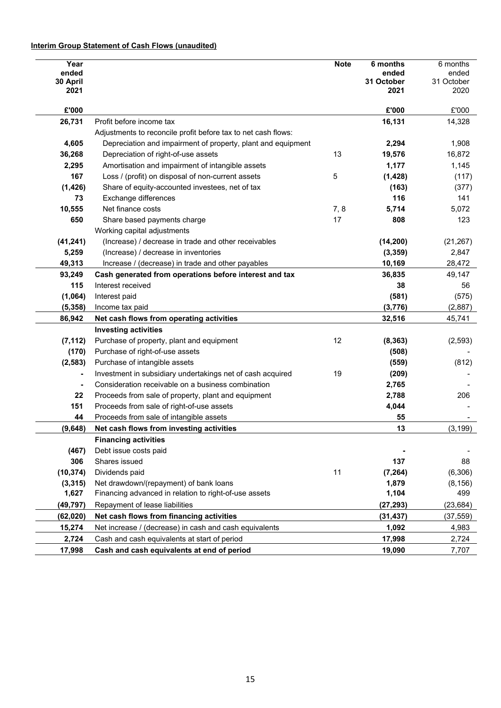# **Interim Group Statement of Cash Flows (unaudited)**

| Year<br>ended<br>30 April<br>2021 |                                                               | <b>Note</b> | 6 months<br>ended<br>31 October<br>2021 | 6 months<br>ended<br>31 October<br>2020 |
|-----------------------------------|---------------------------------------------------------------|-------------|-----------------------------------------|-----------------------------------------|
| £'000                             |                                                               |             | £'000                                   | £'000                                   |
| 26,731                            | Profit before income tax                                      |             | 16,131                                  | 14,328                                  |
|                                   | Adjustments to reconcile profit before tax to net cash flows: |             |                                         |                                         |
| 4,605                             | Depreciation and impairment of property, plant and equipment  |             | 2,294                                   | 1,908                                   |
| 36,268                            | Depreciation of right-of-use assets                           | 13          | 19,576                                  | 16,872                                  |
| 2,295                             | Amortisation and impairment of intangible assets              |             | 1,177                                   | 1,145                                   |
| 167                               | Loss / (profit) on disposal of non-current assets             | 5           | (1, 428)                                | (117)                                   |
| (1, 426)                          | Share of equity-accounted investees, net of tax               |             | (163)                                   | (377)                                   |
| 73                                | Exchange differences                                          |             | 116                                     | 141                                     |
| 10,555                            | Net finance costs                                             | 7,8         | 5,714                                   | 5,072                                   |
| 650                               | Share based payments charge                                   | 17          | 808                                     | 123                                     |
|                                   | Working capital adjustments                                   |             |                                         |                                         |
| (41, 241)                         | (Increase) / decrease in trade and other receivables          |             | (14, 200)                               | (21, 267)                               |
| 5,259                             | (Increase) / decrease in inventories                          |             | (3, 359)                                | 2,847                                   |
| 49,313                            | Increase / (decrease) in trade and other payables             |             | 10,169                                  | 28,472                                  |
| 93,249                            | Cash generated from operations before interest and tax        |             | 36,835                                  | 49,147                                  |
| 115                               | Interest received                                             |             | 38                                      | 56                                      |
| (1,064)                           | Interest paid                                                 |             | (581)                                   | (575)                                   |
| (5, 358)                          | Income tax paid                                               |             | (3,776)                                 | (2,887)                                 |
| 86,942                            | Net cash flows from operating activities                      |             | 32,516                                  | 45,741                                  |
|                                   | <b>Investing activities</b>                                   |             |                                         |                                         |
| (7, 112)                          | Purchase of property, plant and equipment                     | 12          | (8, 363)                                | (2, 593)                                |
| (170)                             | Purchase of right-of-use assets                               |             | (508)                                   |                                         |
| (2, 583)                          | Purchase of intangible assets                                 |             | (559)                                   | (812)                                   |
|                                   | Investment in subsidiary undertakings net of cash acquired    | 19          | (209)                                   |                                         |
| $\qquad \qquad \blacksquare$      | Consideration receivable on a business combination            |             | 2,765                                   |                                         |
| 22                                | Proceeds from sale of property, plant and equipment           |             | 2,788                                   | 206                                     |
| 151                               | Proceeds from sale of right-of-use assets                     |             | 4,044                                   |                                         |
| 44                                | Proceeds from sale of intangible assets                       |             | 55                                      |                                         |
| (9,648)                           | Net cash flows from investing activities                      |             | 13                                      | (3, 199)                                |
|                                   | <b>Financing activities</b>                                   |             |                                         |                                         |
| (467)                             | Debt issue costs paid                                         |             |                                         |                                         |
| 306                               | Shares issued                                                 |             | 137                                     | 88                                      |
| (10, 374)                         | Dividends paid                                                | 11          | (7, 264)                                | (6,306)                                 |
| (3, 315)                          | Net drawdown/(repayment) of bank loans                        |             | 1,879                                   | (8, 156)                                |
| 1,627                             | Financing advanced in relation to right-of-use assets         |             | 1,104                                   | 499                                     |
| (49, 797)                         | Repayment of lease liabilities                                |             | (27, 293)                               | (23, 684)                               |
| (62, 020)                         | Net cash flows from financing activities                      |             | (31, 437)                               | (37, 559)                               |
| 15,274                            | Net increase / (decrease) in cash and cash equivalents        |             | 1,092                                   | 4,983                                   |
| 2,724                             | Cash and cash equivalents at start of period                  |             | 17,998                                  | 2,724                                   |
| 17,998                            | Cash and cash equivalents at end of period                    |             | 19,090                                  | 7,707                                   |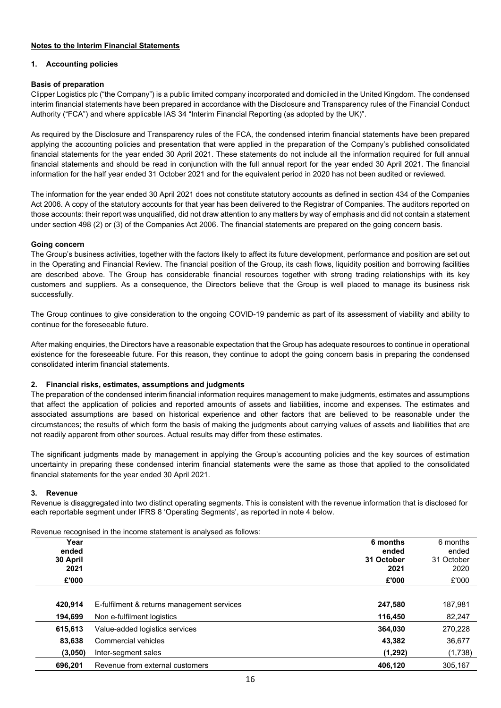### **Notes to the Interim Financial Statements**

## **1. Accounting policies**

## **Basis of preparation**

Clipper Logistics plc ("the Company") is a public limited company incorporated and domiciled in the United Kingdom. The condensed interim financial statements have been prepared in accordance with the Disclosure and Transparency rules of the Financial Conduct Authority ("FCA") and where applicable IAS 34 "Interim Financial Reporting (as adopted by the UK)".

As required by the Disclosure and Transparency rules of the FCA, the condensed interim financial statements have been prepared applying the accounting policies and presentation that were applied in the preparation of the Company's published consolidated financial statements for the year ended 30 April 2021. These statements do not include all the information required for full annual financial statements and should be read in conjunction with the full annual report for the year ended 30 April 2021. The financial information for the half year ended 31 October 2021 and for the equivalent period in 2020 has not been audited or reviewed.

The information for the year ended 30 April 2021 does not constitute statutory accounts as defined in section 434 of the Companies Act 2006. A copy of the statutory accounts for that year has been delivered to the Registrar of Companies. The auditors reported on those accounts: their report was unqualified, did not draw attention to any matters by way of emphasis and did not contain a statement under section 498 (2) or (3) of the Companies Act 2006. The financial statements are prepared on the going concern basis.

#### **Going concern**

The Group's business activities, together with the factors likely to affect its future development, performance and position are set out in the Operating and Financial Review. The financial position of the Group, its cash flows, liquidity position and borrowing facilities are described above. The Group has considerable financial resources together with strong trading relationships with its key customers and suppliers. As a consequence, the Directors believe that the Group is well placed to manage its business risk successfully.

The Group continues to give consideration to the ongoing COVID-19 pandemic as part of its assessment of viability and ability to continue for the foreseeable future.

After making enquiries, the Directors have a reasonable expectation that the Group has adequate resources to continue in operational existence for the foreseeable future. For this reason, they continue to adopt the going concern basis in preparing the condensed consolidated interim financial statements.

## **2. Financial risks, estimates, assumptions and judgments**

The preparation of the condensed interim financial information requires management to make judgments, estimates and assumptions that affect the application of policies and reported amounts of assets and liabilities, income and expenses. The estimates and associated assumptions are based on historical experience and other factors that are believed to be reasonable under the circumstances; the results of which form the basis of making the judgments about carrying values of assets and liabilities that are not readily apparent from other sources. Actual results may differ from these estimates.

The significant judgments made by management in applying the Group's accounting policies and the key sources of estimation uncertainty in preparing these condensed interim financial statements were the same as those that applied to the consolidated financial statements for the year ended 30 April 2021.

#### **3. Revenue**

Revenue is disaggregated into two distinct operating segments. This is consistent with the revenue information that is disclosed for each reportable segment under IFRS 8 'Operating Segments', as reported in note 4 below.

Revenue recognised in the income statement is analysed as follows:

| Year<br>ended<br>30 April<br>2021 |                                            | 6 months<br>ended<br>31 October<br>2021 | 6 months<br>ended<br>31 October<br>2020 |
|-----------------------------------|--------------------------------------------|-----------------------------------------|-----------------------------------------|
| £'000                             |                                            | £'000                                   | £'000                                   |
|                                   |                                            |                                         |                                         |
| 420,914                           | E-fulfilment & returns management services | 247,580                                 | 187,981                                 |
| 194.699                           | Non e-fulfilment logistics                 | 116,450                                 | 82,247                                  |
| 615,613                           | Value-added logistics services             | 364,030                                 | 270.228                                 |
| 83,638                            | Commercial vehicles                        | 43,382                                  | 36,677                                  |
| (3,050)                           | Inter-segment sales                        | (1,292)                                 | (1,738)                                 |
| 696.201                           | Revenue from external customers            | 406,120                                 | 305,167                                 |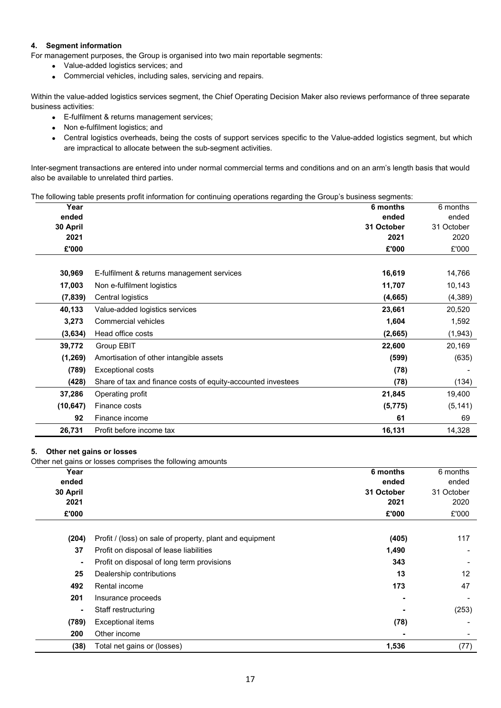# **4. Segment information**

For management purposes, the Group is organised into two main reportable segments:

- Value-added logistics services; and
- Commercial vehicles, including sales, servicing and repairs.

Within the value-added logistics services segment, the Chief Operating Decision Maker also reviews performance of three separate business activities:

- E-fulfilment & returns management services;
- Non e-fulfilment logistics; and
- Central logistics overheads, being the costs of support services specific to the Value-added logistics segment, but which are impractical to allocate between the sub-segment activities.

Inter-segment transactions are entered into under normal commercial terms and conditions and on an arm's length basis that would also be available to unrelated third parties.

The following table presents profit information for continuing operations regarding the Group's business segments:

| Year      |                                                              | 6 months   | 6 months   |
|-----------|--------------------------------------------------------------|------------|------------|
| ended     |                                                              | ended      | ended      |
| 30 April  |                                                              | 31 October | 31 October |
| 2021      |                                                              | 2021       | 2020       |
| £'000     |                                                              | £'000      | £'000      |
| 30,969    | E-fulfilment & returns management services                   | 16,619     | 14,766     |
| 17,003    | Non e-fulfilment logistics                                   | 11,707     | 10,143     |
| (7, 839)  | Central logistics                                            | (4,665)    | (4,389)    |
| 40,133    | Value-added logistics services                               | 23,661     | 20,520     |
| 3,273     | Commercial vehicles                                          | 1,604      | 1,592      |
| (3,634)   | Head office costs                                            | (2,665)    | (1,943)    |
| 39,772    | Group EBIT                                                   | 22,600     | 20,169     |
| (1, 269)  | Amortisation of other intangible assets                      | (599)      | (635)      |
| (789)     | Exceptional costs                                            | (78)       |            |
| (428)     | Share of tax and finance costs of equity-accounted investees | (78)       | (134)      |
| 37,286    | Operating profit                                             | 21,845     | 19,400     |
| (10, 647) | Finance costs                                                | (5, 775)   | (5, 141)   |
| 92        | Finance income                                               | 61         | 69         |
| 26,731    | Profit before income tax                                     | 16,131     | 14,328     |

## **5. Other net gains or losses**

Other net gains or losses comprises the following amounts

| Year           |                                                          | 6 months   | 6 months   |
|----------------|----------------------------------------------------------|------------|------------|
| ended          |                                                          | ended      | ended      |
| 30 April       |                                                          | 31 October | 31 October |
| 2021           |                                                          | 2021       | 2020       |
| £'000          |                                                          | £'000      | £'000      |
|                |                                                          |            |            |
| (204)          | Profit / (loss) on sale of property, plant and equipment | (405)      | 117        |
| 37             | Profit on disposal of lease liabilities                  | 1,490      |            |
| $\blacksquare$ | Profit on disposal of long term provisions               | 343        |            |
| 25             | Dealership contributions                                 | 13         | 12         |
| 492            | Rental income                                            | 173        | 47         |
| 201            | Insurance proceeds                                       |            |            |
| $\blacksquare$ | Staff restructuring                                      |            | (253)      |
| (789)          | <b>Exceptional items</b>                                 | (78)       |            |
| 200            | Other income                                             |            |            |
| (38)           | Total net gains or (losses)                              | 1,536      | (77)       |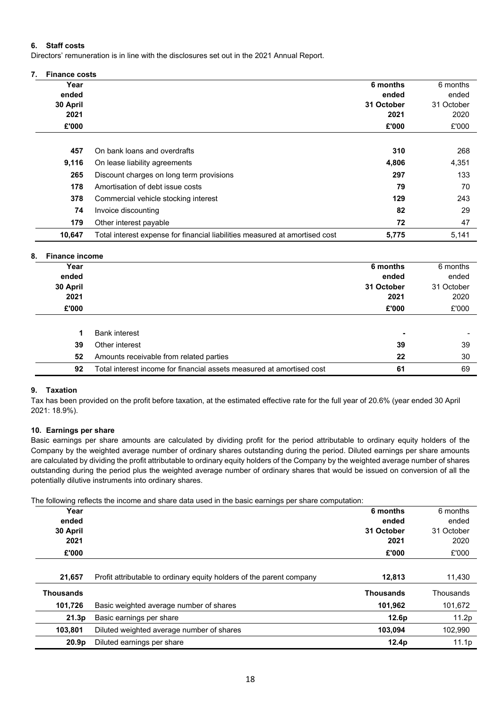# **6. Staff costs**

Directors' remuneration is in line with the disclosures set out in the 2021 Annual Report.

| 7. | <b>Finance costs</b> |                                                                             |            |            |
|----|----------------------|-----------------------------------------------------------------------------|------------|------------|
|    | Year                 |                                                                             | 6 months   | 6 months   |
|    | ended                |                                                                             | ended      | ended      |
|    | 30 April             |                                                                             | 31 October | 31 October |
|    | 2021                 |                                                                             | 2021       | 2020       |
|    | £'000                |                                                                             | £'000      | £'000      |
|    |                      |                                                                             |            |            |
|    | 457                  | On bank loans and overdrafts                                                | 310        | 268        |
|    | 9,116                | On lease liability agreements                                               | 4,806      | 4,351      |
|    | 265                  | Discount charges on long term provisions                                    | 297        | 133        |
|    | 178                  | Amortisation of debt issue costs                                            | 79         | 70         |
|    | 378                  | Commercial vehicle stocking interest                                        | 129        | 243        |
|    | 74                   | Invoice discounting                                                         | 82         | 29         |
|    | 179                  | Other interest payable                                                      | 72         | 47         |
|    | 10,647               | Total interest expense for financial liabilities measured at amortised cost | 5,775      | 5,141      |

## **8. Finance income**

| Year     |                                                                       | 6 months   | 6 months   |
|----------|-----------------------------------------------------------------------|------------|------------|
| ended    |                                                                       | ended      | ended      |
| 30 April |                                                                       | 31 October | 31 October |
| 2021     |                                                                       | 2021       | 2020       |
| £'000    |                                                                       | £'000      | £'000      |
|          |                                                                       |            |            |
|          | <b>Bank interest</b>                                                  | ٠          |            |
| 39       | Other interest                                                        | 39         | 39         |
| 52       | Amounts receivable from related parties                               | 22         | 30         |
| 92       | Total interest income for financial assets measured at amortised cost | 61         | 69         |

# **9. Taxation**

Tax has been provided on the profit before taxation, at the estimated effective rate for the full year of 20.6% (year ended 30 April 2021: 18.9%).

#### **10. Earnings per share**

Basic earnings per share amounts are calculated by dividing profit for the period attributable to ordinary equity holders of the Company by the weighted average number of ordinary shares outstanding during the period. Diluted earnings per share amounts are calculated by dividing the profit attributable to ordinary equity holders of the Company by the weighted average number of shares outstanding during the period plus the weighted average number of ordinary shares that would be issued on conversion of all the potentially dilutive instruments into ordinary shares.

The following reflects the income and share data used in the basic earnings per share computation:

| Year              |                                                                      | 6 months          | 6 months   |
|-------------------|----------------------------------------------------------------------|-------------------|------------|
| ended             |                                                                      | ended             | ended      |
| 30 April          |                                                                      | 31 October        | 31 October |
| 2021              |                                                                      | 2021              | 2020       |
| £'000             |                                                                      | £'000             | £'000      |
|                   |                                                                      |                   |            |
| 21,657            | Profit attributable to ordinary equity holders of the parent company | 12,813            | 11,430     |
| <b>Thousands</b>  |                                                                      | <b>Thousands</b>  | Thousands  |
| 101,726           | Basic weighted average number of shares                              | 101,962           | 101,672    |
| 21.3p             | Basic earnings per share                                             | 12.6p             | 11.2p      |
| 103.801           | Diluted weighted average number of shares                            | 103.094           | 102,990    |
| 20.9 <sub>p</sub> | Diluted earnings per share                                           | 12.4 <sub>p</sub> | 11.1p      |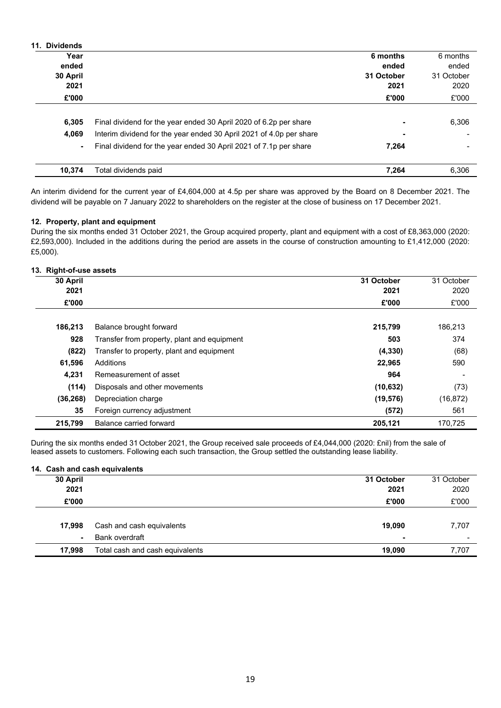| 11. Dividends |                                                                     |            |            |
|---------------|---------------------------------------------------------------------|------------|------------|
| Year          |                                                                     | 6 months   | 6 months   |
| ended         |                                                                     | ended      | ended      |
| 30 April      |                                                                     | 31 October | 31 October |
| 2021          |                                                                     | 2021       | 2020       |
| £'000         |                                                                     | £'000      | £'000      |
|               |                                                                     |            |            |
| 6,305         | Final dividend for the year ended 30 April 2020 of 6.2p per share   |            | 6,306      |
| 4,069         | Interim dividend for the year ended 30 April 2021 of 4.0p per share |            |            |
| ٠             | Final dividend for the year ended 30 April 2021 of 7.1p per share   | 7,264      |            |
| 10,374        | Total dividends paid                                                | 7,264      | 6,306      |

An interim dividend for the current year of £4,604,000 at 4.5p per share was approved by the Board on 8 December 2021. The dividend will be payable on 7 January 2022 to shareholders on the register at the close of business on 17 December 2021.

## **12. Property, plant and equipment**

During the six months ended 31 October 2021, the Group acquired property, plant and equipment with a cost of £8,363,000 (2020: £2,593,000). Included in the additions during the period are assets in the course of construction amounting to £1,412,000 (2020: £5,000).

# **13. Right-of-use assets**

| $\tilde{\phantom{a}}$<br>30 April |                                             | 31 October | 31 October |
|-----------------------------------|---------------------------------------------|------------|------------|
| 2021                              |                                             | 2021       | 2020       |
| £'000                             |                                             | £'000      | £'000      |
| 186,213                           | Balance brought forward                     | 215,799    | 186,213    |
| 928                               | Transfer from property, plant and equipment | 503        | 374        |
| (822)                             | Transfer to property, plant and equipment   | (4, 330)   | (68)       |
| 61,596                            | Additions                                   | 22,965     | 590        |
| 4,231                             | Remeasurement of asset                      | 964        |            |
| (114)                             | Disposals and other movements               | (10, 632)  | (73)       |
| (36, 268)                         | Depreciation charge                         | (19, 576)  | (16, 872)  |
| 35                                | Foreign currency adjustment                 | (572)      | 561        |
| 215,799                           | Balance carried forward                     | 205,121    | 170,725    |

During the six months ended 31 October 2021, the Group received sale proceeds of £4,044,000 (2020: £nil) from the sale of leased assets to customers. Following each such transaction, the Group settled the outstanding lease liability.

## **14. Cash and cash equivalents**

| 30 April |                                 | 31 October     | 31 October               |
|----------|---------------------------------|----------------|--------------------------|
| 2021     |                                 | 2021           | 2020                     |
| £'000    |                                 | £'000          | £'000                    |
| 17,998   | Cash and cash equivalents       | 19.090         | 7,707                    |
| ۰.       | Bank overdraft                  | $\blacksquare$ | $\overline{\phantom{0}}$ |
| 17,998   | Total cash and cash equivalents | 19,090         | 7,707                    |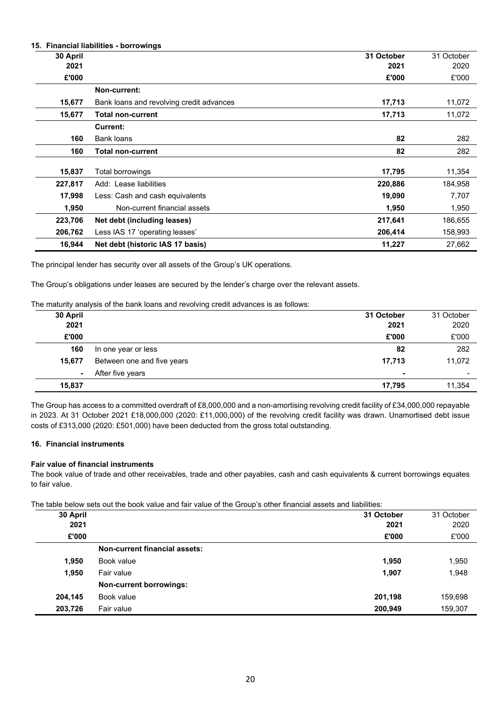|          | 15. Financial liabilities - borrowings   |            |            |
|----------|------------------------------------------|------------|------------|
| 30 April |                                          | 31 October | 31 October |
| 2021     |                                          | 2021       | 2020       |
| £'000    |                                          | £'000      | £'000      |
|          | Non-current:                             |            |            |
| 15,677   | Bank loans and revolving credit advances | 17,713     | 11,072     |
| 15,677   | <b>Total non-current</b>                 | 17,713     | 11,072     |
|          | <b>Current:</b>                          |            |            |
| 160      | <b>Bank loans</b>                        | 82         | 282        |
| 160      | Total non-current                        | 82         | 282        |
|          |                                          |            |            |
| 15,837   | Total borrowings                         | 17,795     | 11,354     |
| 227,817  | Add: Lease liabilities                   | 220,886    | 184,958    |
| 17,998   | Less: Cash and cash equivalents          | 19,090     | 7,707      |
| 1,950    | Non-current financial assets             | 1,950      | 1,950      |
| 223,706  | Net debt (including leases)              | 217,641    | 186,655    |
| 206,762  | Less IAS 17 'operating leases'           | 206,414    | 158,993    |
| 16,944   | Net debt (historic IAS 17 basis)         | 11,227     | 27,662     |

The principal lender has security over all assets of the Group's UK operations.

The Group's obligations under leases are secured by the lender's charge over the relevant assets.

The maturity analysis of the bank loans and revolving credit advances is as follows:

| 30 April |                            | 31 October | 31 October               |
|----------|----------------------------|------------|--------------------------|
| 2021     |                            | 2021       | 2020                     |
| £'000    |                            | £'000      | £'000                    |
| 160      | In one year or less        | 82         | 282                      |
| 15.677   | Between one and five years | 17,713     | 11,072                   |
| ٠        | After five years           | ۰          | $\overline{\phantom{0}}$ |
| 15,837   |                            | 17,795     | 11,354                   |

The Group has access to a committed overdraft of £8,000,000 and a non-amortising revolving credit facility of £34,000,000 repayable in 2023. At 31 October 2021 £18,000,000 (2020: £11,000,000) of the revolving credit facility was drawn. Unamortised debt issue costs of £313,000 (2020: £501,000) have been deducted from the gross total outstanding.

# **16. Financial instruments**

## **Fair value of financial instruments**

The book value of trade and other receivables, trade and other payables, cash and cash equivalents & current borrowings equates to fair value.

The table below sets out the book value and fair value of the Group's other financial assets and liabilities:

| 30 April |                                      | 31 October | 31 October |
|----------|--------------------------------------|------------|------------|
| 2021     |                                      | 2021       | 2020       |
| £'000    |                                      | £'000      | £'000      |
|          | <b>Non-current financial assets:</b> |            |            |
| 1,950    | Book value                           | 1,950      | 1,950      |
| 1,950    | Fair value                           | 1,907      | 1,948      |
|          | <b>Non-current borrowings:</b>       |            |            |
| 204,145  | Book value                           | 201,198    | 159,698    |
| 203,726  | Fair value                           | 200,949    | 159,307    |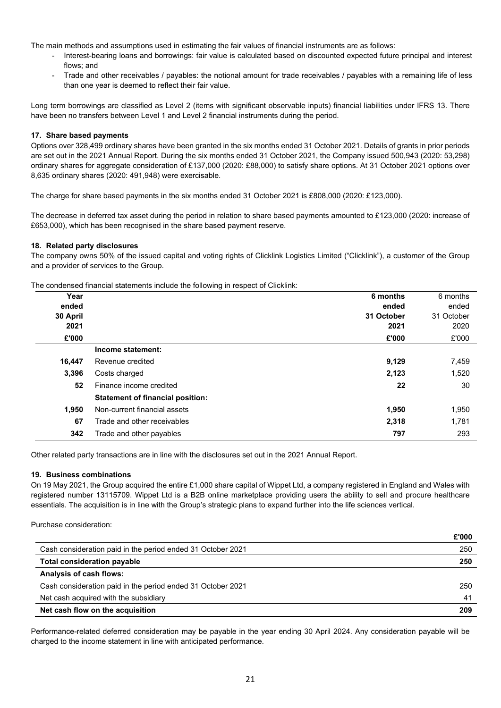The main methods and assumptions used in estimating the fair values of financial instruments are as follows:

- Interest-bearing loans and borrowings: fair value is calculated based on discounted expected future principal and interest flows; and
- Trade and other receivables / payables: the notional amount for trade receivables / payables with a remaining life of less than one year is deemed to reflect their fair value.

Long term borrowings are classified as Level 2 (items with significant observable inputs) financial liabilities under IFRS 13. There have been no transfers between Level 1 and Level 2 financial instruments during the period.

#### **17. Share based payments**

Options over 328,499 ordinary shares have been granted in the six months ended 31 October 2021. Details of grants in prior periods are set out in the 2021 Annual Report. During the six months ended 31 October 2021, the Company issued 500,943 (2020: 53,298) ordinary shares for aggregate consideration of £137,000 (2020: £88,000) to satisfy share options. At 31 October 2021 options over 8,635 ordinary shares (2020: 491,948) were exercisable.

The charge for share based payments in the six months ended 31 October 2021 is £808,000 (2020: £123,000).

The decrease in deferred tax asset during the period in relation to share based payments amounted to £123,000 (2020: increase of £653,000), which has been recognised in the share based payment reserve.

#### **18. Related party disclosures**

The company owns 50% of the issued capital and voting rights of Clicklink Logistics Limited ("Clicklink"), a customer of the Group and a provider of services to the Group.

The condensed financial statements include the following in respect of Clicklink:

| Year     |                                         | 6 months   | 6 months   |
|----------|-----------------------------------------|------------|------------|
| ended    |                                         | ended      | ended      |
| 30 April |                                         | 31 October | 31 October |
| 2021     |                                         | 2021       | 2020       |
| £'000    |                                         | £'000      | £'000      |
|          | Income statement:                       |            |            |
| 16,447   | Revenue credited                        | 9,129      | 7,459      |
| 3,396    | Costs charged                           | 2,123      | 1,520      |
| 52       | Finance income credited                 | 22         | 30         |
|          | <b>Statement of financial position:</b> |            |            |
| 1,950    | Non-current financial assets            | 1,950      | 1,950      |
| 67       | Trade and other receivables             | 2,318      | 1,781      |
| 342      | Trade and other payables                | 797        | 293        |

Other related party transactions are in line with the disclosures set out in the 2021 Annual Report.

#### **19. Business combinations**

On 19 May 2021, the Group acquired the entire £1,000 share capital of Wippet Ltd, a company registered in England and Wales with registered number 13115709. Wippet Ltd is a B2B online marketplace providing users the ability to sell and procure healthcare essentials. The acquisition is in line with the Group's strategic plans to expand further into the life sciences vertical.

Purchase consideration:

|                                                             | £'000 |
|-------------------------------------------------------------|-------|
| Cash consideration paid in the period ended 31 October 2021 | 250   |
| <b>Total consideration payable</b>                          | 250   |
| Analysis of cash flows:                                     |       |
| Cash consideration paid in the period ended 31 October 2021 | 250   |
| Net cash acquired with the subsidiary                       | 41    |
| Net cash flow on the acquisition                            | 209   |

Performance-related deferred consideration may be payable in the year ending 30 April 2024. Any consideration payable will be charged to the income statement in line with anticipated performance.